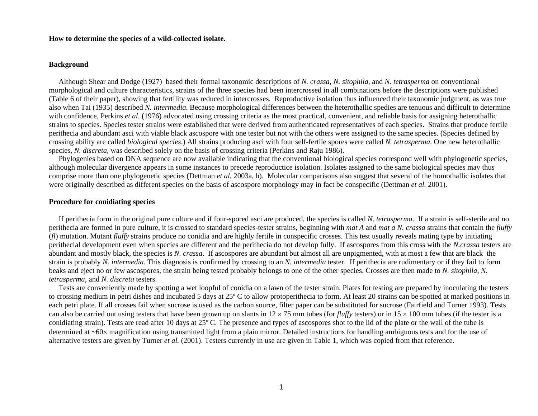## **How to determine the species of a wild-collected isolate.**

# **Background**

Although Shear and Dodge (1927) based their formal taxonomic descriptions of *N. crassa*, *N. sitophila*, and *N. tetrasperma* on conventional morphological and culture characteristics, strains of the three species had been intercrossed in all combinations before the descriptions were published (Table 6 of their paper), showing that fertility was reduced in intercrosses. Reproductive isolation thus influenced their taxonomic judgment, as was true also when Tai (1935) described *N. intermedia*. Because morphological differences between the heterothallic spedies are tenuous and difficult to determine with confidence, Perkins *et al.* (1976) advocated using crossing criteria as the most practical, convenient, and reliable basis for assigning heterothallic strains to species. Species tester strains were established that were derived from authenticated representatives of each species. Strains that produce fertile perithecia and abundant asci with viable black ascospore with one tester but not with the others were assigned to the same species. (Species defined by crossing ability are called *biological species*.) All strains producing asci with four self-fertile spores were called *N. tetrasperma*. One new heterothallic species, *N. discreta*, was described solely on the basis of crossing criteria (Perkins and Raju 1986).

Phylogenies based on DNA sequence are now available indicating that the conventional biological species correspond well with phylogenetic species, although molecular divergence appears in some instances to precede reproductice isolation. Isolates assigned to the same biological species may thus comprise more than one phylogenetic species (Dettman *et al.* 2003a, b). Molecular comparisons also suggest that several of the homothallic isolates that were originally described as different species on the basis of ascospore morphology may in fact be conspecific (Dettman *et al.* 2001).

#### **Procedure for conidiating species**

If perithecia form in the original pure culture and if four-spored asci are produced, the species is called *N. tetrasperma*. If a strain is self-sterile and no perithecia are formed in pure culture, it is crossed to standard species-tester strains, beginning with *mat A* and *mat a N. crassa* strains that contain the *fluffy* (*fl*) mutation. Mutant *fluffy* strains produce no conidia and are highly fertile in conspecific crosses. This test usually reveals mating type by initiating perithecial development even when species are different and the perithecia do not develop fully. If ascospores from this cross with the *N.crassa* testers are abundant and mostly black, the species is *N. crassa*. If ascospores are abundant but almost all are unpigmented, with at most a few that are black the strain is probably *N. intermedia*. This diagnosis is confirmed by crossing to an *N. intermedia* tester. If perithecia are rudimentary or if they fail to form beaks and eject no or few ascospores, the strain being tested probably belongs to one of the other species. Crosses are then made to *N. sitophila*, *N. tetrasperma*, and *N. discreta* testers.

Tests are conveniently made by spotting a wet loopful of conidia on a lawn of the tester strain. Plates for testing are prepared by inoculating the testers to crossing medium in petri dishes and incubated 5 days at 25º C to allow protoperithecia to form. At least 20 strains can be spotted at marked positions in each petri plate. If all crosses fail when sucrose is used as the carbon source, filter paper can be substituted for sucrose (Fairfield and Turner 1993). Tests can also be carried out using testers that have been grown up on slants in  $12 \times 75$  mm tubes (for *fluffy* testers) or in  $15 \times 100$  mm tubes (if the tester is a conidiating strain). Tests are read after 10 days at 25º C. The presence and types of ascospores shot to the lid of the plate or the wall of the tube is determined at ~60<sup>×</sup> magnification using transmitted light from a plain mirror. Detailed instructions for handling ambiguous tests and for the use of alternative testers are given by Turner *et al.* (2001). Testers currently in use are given in Table 1, which was copied from that reference.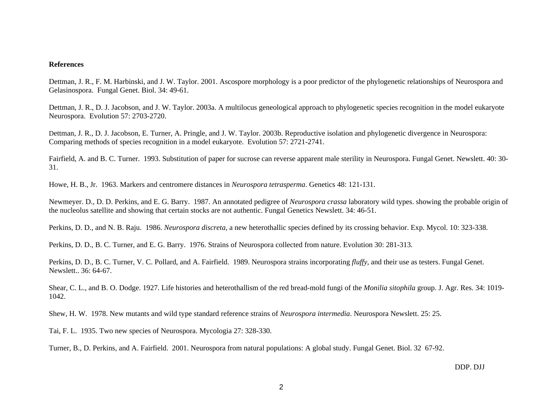### **References**

Dettman, J. R., F. M. Harbinski, and J. W. Taylor. 2001. Ascospore morphology is a poor predictor of the phylogenetic relationships of Neurospora and Gelasinospora. Fungal Genet. Biol. 34: 49-61.

Dettman, J. R., D. J. Jacobson, and J. W. Taylor. 2003a. A multilocus geneological approach to phylogenetic species recognition in the model eukaryote Neurospora. Evolution 57: 2703-2720.

Dettman, J. R., D. J. Jacobson, E. Turner, A. Pringle, and J. W. Taylor. 2003b. Reproductive isolation and phylogenetic divergence in Neurospora: Comparing methods of species recognition in a model eukaryote. Evolution 57: 2721-2741.

Fairfield, A. and B. C. Turner. 1993. Substitution of paper for sucrose can reverse apparent male sterility in Neurospora. Fungal Genet. Newslett. 40: 30- 31.

Howe, H. B., Jr. 1963. Markers and centromere distances in *Neurospora tetrasperma*. Genetics 48: 121-131.

Newmeyer. D., D. D. Perkins, and E. G. Barry. 1987. An annotated pedigree of *Neurospora crassa* laboratory wild types. showing the probable origin of the nucleolus satellite and showing that certain stocks are not authentic. Fungal Genetics Newslett. 34: 46-51.

Perkins, D. D., and N. B. Raju. 1986. *Neurospora discreta*, a new heterothallic species defined by its crossing behavior. Exp. Mycol. 10: 323-338.

Perkins, D. D., B. C. Turner, and E. G. Barry. 1976. Strains of Neurospora collected from nature. Evolution 30: 281-313.

Perkins, D. D., B. C. Turner, V. C. Pollard, and A. Fairfield. 1989. Neurospora strains incorporating *fluffy*, and their use as testers. Fungal Genet. Newslett.. 36: 64-67.

Shear, C. L., and B. O. Dodge. 1927. Life histories and heterothallism of the red bread-mold fungi of the *Monilia sitophila* group. J. Agr. Res. 34: 1019- 1042.

Shew, H. W. 1978. New mutants and wild type standard reference strains of *Neurospora intermedia*. Neurospora Newslett. 25: 25.

Tai, F. L. 1935. Two new species of Neurospora. Mycologia 27: 328-330.

Turner, B., D. Perkins, and A. Fairfield. 2001. Neurospora from natural populations: A global study. Fungal Genet. Biol. 32 67-92.

DDP. DJJ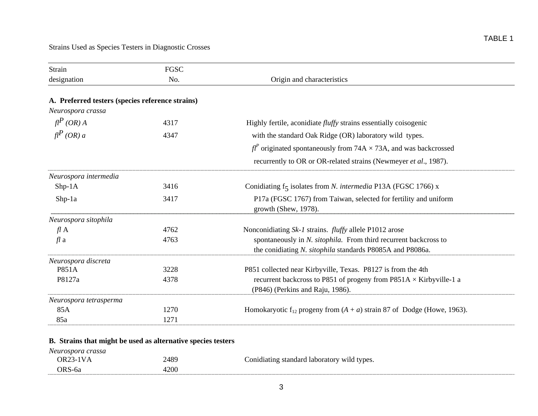| Strain                                           | <b>FGSC</b> |                                                                                      |
|--------------------------------------------------|-------------|--------------------------------------------------------------------------------------|
| designation                                      | No.         | Origin and characteristics                                                           |
|                                                  |             |                                                                                      |
| A. Preferred testers (species reference strains) |             |                                                                                      |
| Neurospora crassa                                |             |                                                                                      |
| $fl^P(OR)$ A                                     | 4317        | Highly fertile, aconidiate <i>fluffy</i> strains essentially coisogenic              |
| $\mathit{fl}^P$ (OR) a                           | 4347        | with the standard Oak Ridge (OR) laboratory wild types.                              |
|                                                  |             | $f^{p'}$ originated spontaneously from 74A $\times$ 73A, and was backcrossed         |
|                                                  |             | recurrently to OR or OR-related strains (Newmeyer et al., 1987).                     |
| Neurospora intermedia                            |             |                                                                                      |
| $Shp-1A$                                         | 3416        | Conidiating f <sub>5</sub> isolates from <i>N. intermedia</i> P13A (FGSC 1766) x     |
| $Shp-1a$                                         | 3417        | P17a (FGSC 1767) from Taiwan, selected for fertility and uniform                     |
|                                                  |             | growth (Shew, 1978).                                                                 |
| Neurospora sitophila                             |             |                                                                                      |
| flA                                              | 4762        | Nonconidiating Sk-1 strains. <i>fluffy</i> allele P1012 arose                        |
| $fl$ a                                           | 4763        | spontaneously in N. sitophila. From third recurrent backcross to                     |
|                                                  |             | the conidiating N. sitophila standards P8085A and P8086a.                            |
| Neurospora discreta                              |             |                                                                                      |
| P851A                                            | 3228        | P851 collected near Kirbyville, Texas. P8127 is from the 4th                         |
| P8127a                                           | 4378        | recurrent backcross to P851 of progeny from P851A $\times$ Kirbyville-1 a            |
|                                                  |             | (P846) (Perkins and Raju, 1986).                                                     |
| Neurospora tetrasperma                           |             |                                                                                      |
| 85A                                              | 1270        | Homokaryotic f <sub>12</sub> progeny from $(A + a)$ strain 87 of Dodge (Howe, 1963). |
| 85a                                              | 1271        |                                                                                      |

# **B. Strains that might be used as alternative species testers**

| Neurospora crassa |      |                                             |
|-------------------|------|---------------------------------------------|
| OR23-1VA          | 2489 | Conidiating standard laboratory wild types. |
| ORS-6a            | 4200 |                                             |
|                   |      |                                             |